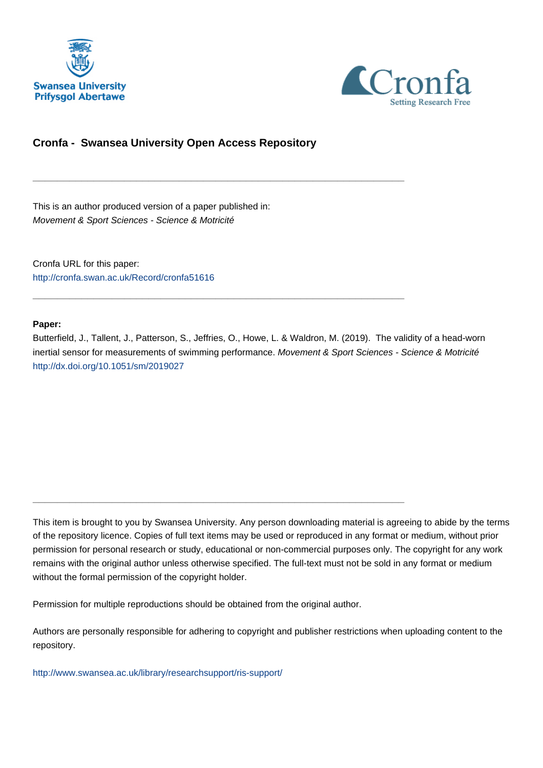



# **Cronfa - Swansea University Open Access Repository**

\_\_\_\_\_\_\_\_\_\_\_\_\_\_\_\_\_\_\_\_\_\_\_\_\_\_\_\_\_\_\_\_\_\_\_\_\_\_\_\_\_\_\_\_\_\_\_\_\_\_\_\_\_\_\_\_\_\_\_\_\_

\_\_\_\_\_\_\_\_\_\_\_\_\_\_\_\_\_\_\_\_\_\_\_\_\_\_\_\_\_\_\_\_\_\_\_\_\_\_\_\_\_\_\_\_\_\_\_\_\_\_\_\_\_\_\_\_\_\_\_\_\_

\_\_\_\_\_\_\_\_\_\_\_\_\_\_\_\_\_\_\_\_\_\_\_\_\_\_\_\_\_\_\_\_\_\_\_\_\_\_\_\_\_\_\_\_\_\_\_\_\_\_\_\_\_\_\_\_\_\_\_\_\_

This is an author produced version of a paper published in: Movement & Sport Sciences - Science & Motricité

Cronfa URL for this paper: <http://cronfa.swan.ac.uk/Record/cronfa51616>

#### **Paper:**

Butterfield, J., Tallent, J., Patterson, S., Jeffries, O., Howe, L. & Waldron, M. (2019). The validity of a head-worn inertial sensor for measurements of swimming performance. Movement & Sport Sciences - Science & Motricité <http://dx.doi.org/10.1051/sm/2019027>

This item is brought to you by Swansea University. Any person downloading material is agreeing to abide by the terms of the repository licence. Copies of full text items may be used or reproduced in any format or medium, without prior permission for personal research or study, educational or non-commercial purposes only. The copyright for any work remains with the original author unless otherwise specified. The full-text must not be sold in any format or medium without the formal permission of the copyright holder.

Permission for multiple reproductions should be obtained from the original author.

Authors are personally responsible for adhering to copyright and publisher restrictions when uploading content to the repository.

[http://www.swansea.ac.uk/library/researchsupport/ris-support/](http://www.swansea.ac.uk/library/researchsupport/ris-support/ )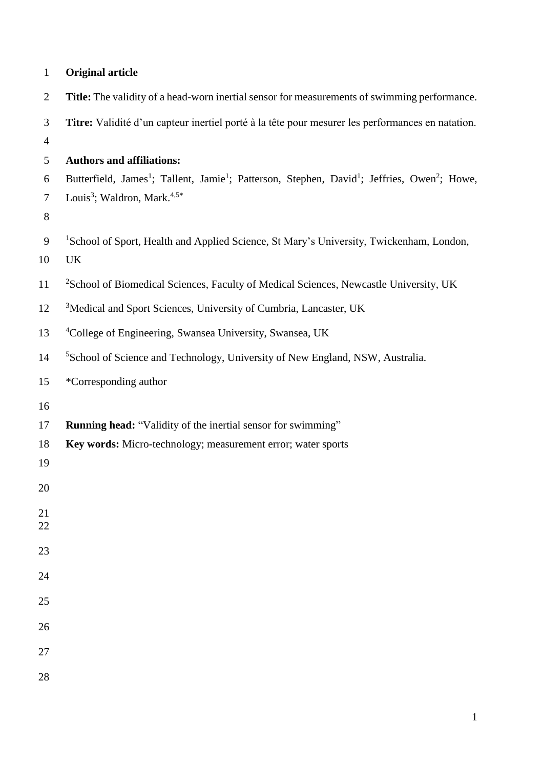| $\mathbf{1}$   | <b>Original article</b>                                                                                                                      |
|----------------|----------------------------------------------------------------------------------------------------------------------------------------------|
| $\overline{2}$ | Title: The validity of a head-worn inertial sensor for measurements of swimming performance.                                                 |
| 3              | Titre: Validité d'un capteur inertiel porté à la tête pour mesurer les performances en natation.                                             |
| $\overline{4}$ |                                                                                                                                              |
| 5              | <b>Authors and affiliations:</b>                                                                                                             |
| 6              | Butterfield, James <sup>1</sup> ; Tallent, Jamie <sup>1</sup> ; Patterson, Stephen, David <sup>1</sup> ; Jeffries, Owen <sup>2</sup> ; Howe, |
| $\tau$<br>8    | Louis <sup>3</sup> ; Waldron, Mark. <sup>4,5*</sup>                                                                                          |
| 9              | <sup>1</sup> School of Sport, Health and Applied Science, St Mary's University, Twickenham, London,                                          |
| 10             | UK                                                                                                                                           |
| 11             | <sup>2</sup> School of Biomedical Sciences, Faculty of Medical Sciences, Newcastle University, UK                                            |
| 12             | <sup>3</sup> Medical and Sport Sciences, University of Cumbria, Lancaster, UK                                                                |
| 13             | <sup>4</sup> College of Engineering, Swansea University, Swansea, UK                                                                         |
| 14             | <sup>5</sup> School of Science and Technology, University of New England, NSW, Australia.                                                    |
| 15             | *Corresponding author                                                                                                                        |
| 16             |                                                                                                                                              |
| 17             | Running head: "Validity of the inertial sensor for swimming"                                                                                 |
| 18             | Key words: Micro-technology; measurement error; water sports                                                                                 |
| 19             |                                                                                                                                              |
| 20             |                                                                                                                                              |
| 21             |                                                                                                                                              |
| 22             |                                                                                                                                              |
| 23             |                                                                                                                                              |
| 24             |                                                                                                                                              |
| 25             |                                                                                                                                              |
| 26             |                                                                                                                                              |
| 27             |                                                                                                                                              |
| 28             |                                                                                                                                              |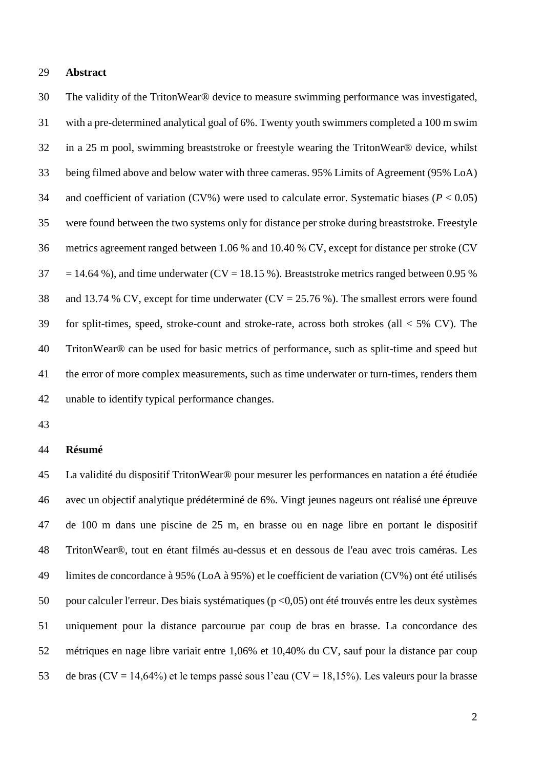#### **Abstract**

 The validity of the TritonWear® device to measure swimming performance was investigated, with a pre-determined analytical goal of 6%. Twenty youth swimmers completed a 100 m swim in a 25 m pool, swimming breaststroke or freestyle wearing the TritonWear® device, whilst being filmed above and below water with three cameras. 95% Limits of Agreement (95% LoA) 34 and coefficient of variation (CV%) were used to calculate error. Systematic biases ( $P < 0.05$ ) were found between the two systems only for distance per stroke during breaststroke. Freestyle metrics agreement ranged between 1.06 % and 10.40 % CV, except for distance per stroke (CV  $37 = 14.64$  %), and time underwater (CV = 18.15 %). Breaststroke metrics ranged between 0.95 % and 13.74 % CV, except for time underwater (CV = 25.76 %). The smallest errors were found for split-times, speed, stroke-count and stroke-rate, across both strokes (all < 5% CV). The TritonWear® can be used for basic metrics of performance, such as split-time and speed but the error of more complex measurements, such as time underwater or turn-times, renders them unable to identify typical performance changes.

### **Résumé**

 La validité du dispositif TritonWear® pour mesurer les performances en natation a été étudiée avec un objectif analytique prédéterminé de 6%. Vingt jeunes nageurs ont réalisé une épreuve de 100 m dans une piscine de 25 m, en brasse ou en nage libre en portant le dispositif TritonWear®, tout en étant filmés au-dessus et en dessous de l'eau avec trois caméras. Les limites de concordance à 95% (LoA à 95%) et le coefficient de variation (CV%) ont été utilisés pour calculer l'erreur. Des biais systématiques (p <0,05) ont été trouvés entre les deux systèmes uniquement pour la distance parcourue par coup de bras en brasse. La concordance des métriques en nage libre variait entre 1,06% et 10,40% du CV, sauf pour la distance par coup de bras (CV = 14,64%) et le temps passé sous l'eau (CV = 18,15%). Les valeurs pour la brasse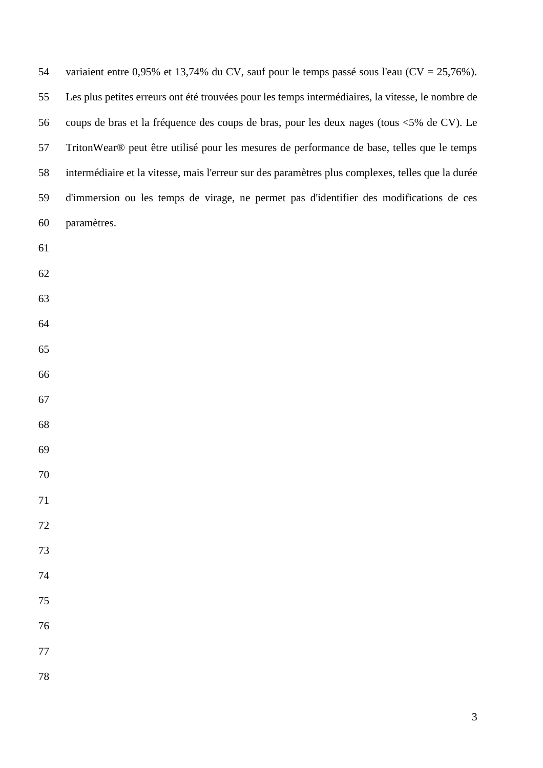| 54      | variaient entre 0,95% et 13,74% du CV, sauf pour le temps passé sous l'eau $(CV = 25,76\%)$ .     |
|---------|---------------------------------------------------------------------------------------------------|
| 55      | Les plus petites erreurs ont été trouvées pour les temps intermédiaires, la vitesse, le nombre de |
| 56      | coups de bras et la fréquence des coups de bras, pour les deux nages (tous <5% de CV). Le         |
| 57      | TritonWear® peut être utilisé pour les mesures de performance de base, telles que le temps        |
| 58      | intermédiaire et la vitesse, mais l'erreur sur des paramètres plus complexes, telles que la durée |
| 59      | d'immersion ou les temps de virage, ne permet pas d'identifier des modifications de ces           |
| 60      | paramètres.                                                                                       |
| 61      |                                                                                                   |
| 62      |                                                                                                   |
| 63      |                                                                                                   |
| 64      |                                                                                                   |
| 65      |                                                                                                   |
| 66      |                                                                                                   |
| 67      |                                                                                                   |
| 68      |                                                                                                   |
| 69      |                                                                                                   |
| 70      |                                                                                                   |
| 71      |                                                                                                   |
| $72\,$  |                                                                                                   |
| 73      |                                                                                                   |
| 74      |                                                                                                   |
| 75      |                                                                                                   |
| 76      |                                                                                                   |
| $77 \,$ |                                                                                                   |
| 78      |                                                                                                   |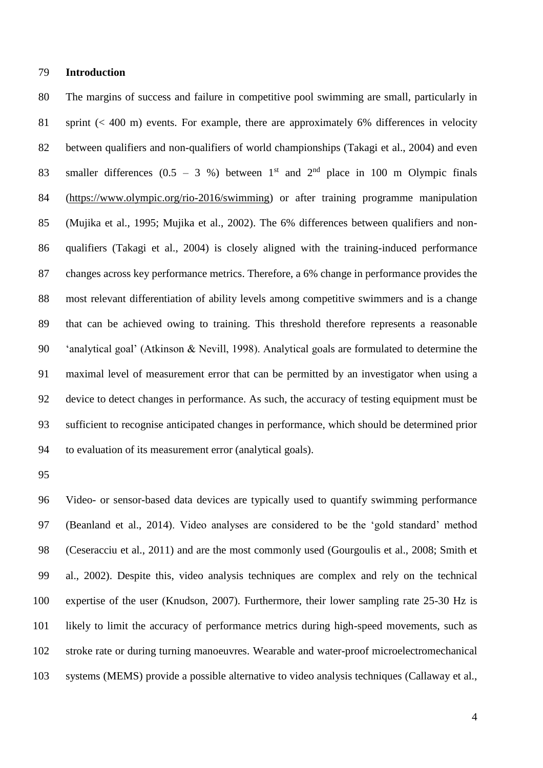# **Introduction**

 The margins of success and failure in competitive pool swimming are small, particularly in sprint (< 400 m) events. For example, there are approximately 6% differences in velocity between qualifiers and non-qualifiers of world championships (Takagi et al., 2004) and even 83 smaller differences  $(0.5 - 3 \%)$  between 1<sup>st</sup> and 2<sup>nd</sup> place in 100 m Olympic finals (https://www.olympic.org/rio-2016/swimming) or after training programme manipulation (Mujika et al., 1995; Mujika et al., 2002). The 6% differences between qualifiers and non- qualifiers (Takagi et al., 2004) is closely aligned with the training-induced performance changes across key performance metrics. Therefore, a 6% change in performance provides the most relevant differentiation of ability levels among competitive swimmers and is a change that can be achieved owing to training. This threshold therefore represents a reasonable 'analytical goal' (Atkinson & Nevill, 1998). Analytical goals are formulated to determine the maximal level of measurement error that can be permitted by an investigator when using a device to detect changes in performance. As such, the accuracy of testing equipment must be sufficient to recognise anticipated changes in performance, which should be determined prior to evaluation of its measurement error (analytical goals).

 Video- or sensor-based data devices are typically used to quantify swimming performance (Beanland et al., 2014). Video analyses are considered to be the 'gold standard' method (Ceseracciu et al., 2011) and are the most commonly used (Gourgoulis et al., 2008; Smith et al., 2002). Despite this, video analysis techniques are complex and rely on the technical expertise of the user (Knudson, 2007). Furthermore, their lower sampling rate 25-30 Hz is likely to limit the accuracy of performance metrics during high-speed movements, such as stroke rate or during turning manoeuvres. Wearable and water-proof microelectromechanical systems (MEMS) provide a possible alternative to video analysis techniques (Callaway et al.,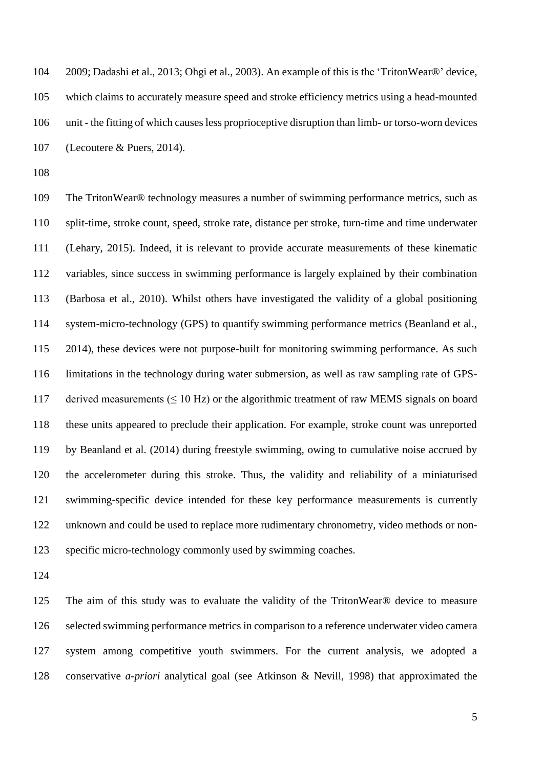2009; Dadashi et al., 2013; Ohgi et al., 2003). An example of this is the 'TritonWear®' device, which claims to accurately measure speed and stroke efficiency metrics using a head-mounted unit - the fitting of which causes less proprioceptive disruption than limb- or torso-worn devices (Lecoutere & Puers, 2014).

 The TritonWear® technology measures a number of swimming performance metrics, such as split-time, stroke count, speed, stroke rate, distance per stroke, turn-time and time underwater (Lehary, 2015). Indeed, it is relevant to provide accurate measurements of these kinematic variables, since success in swimming performance is largely explained by their combination (Barbosa et al., 2010). Whilst others have investigated the validity of a global positioning system-micro-technology (GPS) to quantify swimming performance metrics (Beanland et al., 2014), these devices were not purpose-built for monitoring swimming performance. As such limitations in the technology during water submersion, as well as raw sampling rate of GPS-117 derived measurements  $( \leq 10 \text{ Hz})$  or the algorithmic treatment of raw MEMS signals on board these units appeared to preclude their application. For example, stroke count was unreported by Beanland et al. (2014) during freestyle swimming, owing to cumulative noise accrued by the accelerometer during this stroke. Thus, the validity and reliability of a miniaturised swimming-specific device intended for these key performance measurements is currently unknown and could be used to replace more rudimentary chronometry, video methods or non-specific micro-technology commonly used by swimming coaches.

 The aim of this study was to evaluate the validity of the TritonWear® device to measure selected swimming performance metrics in comparison to a reference underwater video camera system among competitive youth swimmers. For the current analysis, we adopted a conservative *a-priori* analytical goal (see Atkinson & Nevill, 1998) that approximated the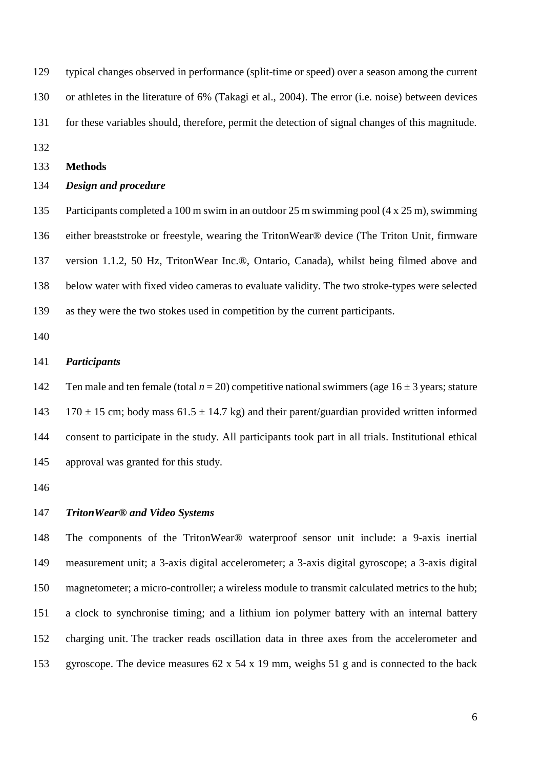typical changes observed in performance (split-time or speed) over a season among the current or athletes in the literature of 6% (Takagi et al., 2004). The error (i.e. noise) between devices for these variables should, therefore, permit the detection of signal changes of this magnitude.

### **Methods**

# *Design and procedure*

 Participants completed a 100 m swim in an outdoor 25 m swimming pool (4 x 25 m), swimming either breaststroke or freestyle, wearing the TritonWear® device (The Triton Unit, firmware version 1.1.2, 50 Hz, TritonWear Inc.®, Ontario, Canada), whilst being filmed above and below water with fixed video cameras to evaluate validity. The two stroke-types were selected as they were the two stokes used in competition by the current participants.

### *Participants*

142 Ten male and ten female (total  $n = 20$ ) competitive national swimmers (age  $16 \pm 3$  years; stature 143 170  $\pm$  15 cm; body mass 61.5  $\pm$  14.7 kg) and their parent/guardian provided written informed consent to participate in the study. All participants took part in all trials. Institutional ethical approval was granted for this study.

# *TritonWear***®** *and Video Systems*

 The components of the TritonWear® waterproof sensor unit include: a 9-axis inertial measurement unit; a 3-axis digital accelerometer; a 3-axis digital gyroscope; a 3-axis digital magnetometer; a micro-controller; a wireless module to transmit calculated metrics to the hub; a clock to synchronise timing; and a lithium ion polymer battery with an internal battery charging unit. The tracker reads oscillation data in three axes from the accelerometer and gyroscope. The device measures 62 x 54 x 19 mm, weighs 51 g and is connected to the back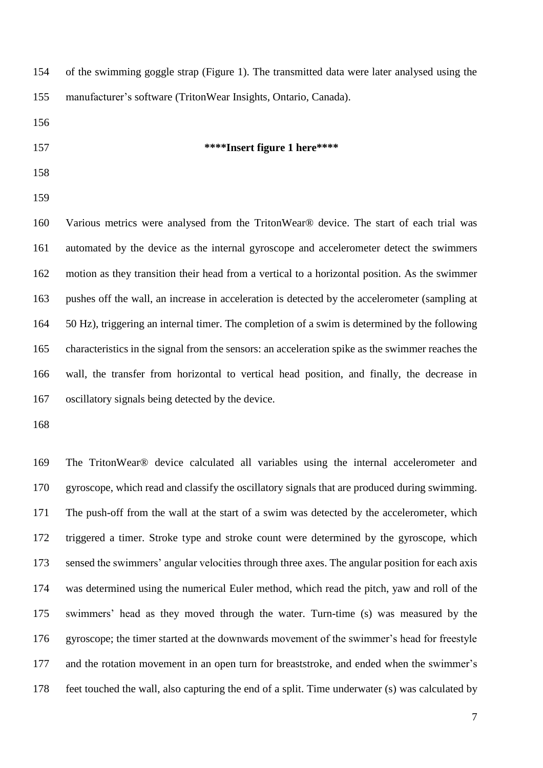| 154 | of the swimming goggle strap (Figure 1). The transmitted data were later analysed using the      |
|-----|--------------------------------------------------------------------------------------------------|
| 155 | manufacturer's software (TritonWear Insights, Ontario, Canada).                                  |
| 156 |                                                                                                  |
| 157 | ****Insert figure 1 here****                                                                     |
| 158 |                                                                                                  |
| 159 |                                                                                                  |
| 160 | Various metrics were analysed from the TritonWear® device. The start of each trial was           |
| 161 | automated by the device as the internal gyroscope and accelerometer detect the swimmers          |
| 162 | motion as they transition their head from a vertical to a horizontal position. As the swimmer    |
| 163 | pushes off the wall, an increase in acceleration is detected by the accelerometer (sampling at   |
| 164 | 50 Hz), triggering an internal timer. The completion of a swim is determined by the following    |
| 165 | characteristics in the signal from the sensors: an acceleration spike as the swimmer reaches the |
| 166 | wall, the transfer from horizontal to vertical head position, and finally, the decrease in       |
| 167 | oscillatory signals being detected by the device.                                                |
| 168 |                                                                                                  |
|     |                                                                                                  |

 The TritonWear® device calculated all variables using the internal accelerometer and gyroscope, which read and classify the oscillatory signals that are produced during swimming. The push-off from the wall at the start of a swim was detected by the accelerometer, which triggered a timer. Stroke type and stroke count were determined by the gyroscope, which sensed the swimmers' angular velocities through three axes. The angular position for each axis was determined using the numerical Euler method, which read the pitch, yaw and roll of the swimmers' head as they moved through the water. Turn-time (s) was measured by the gyroscope; the timer started at the downwards movement of the swimmer's head for freestyle and the rotation movement in an open turn for breaststroke, and ended when the swimmer's feet touched the wall, also capturing the end of a split. Time underwater (s) was calculated by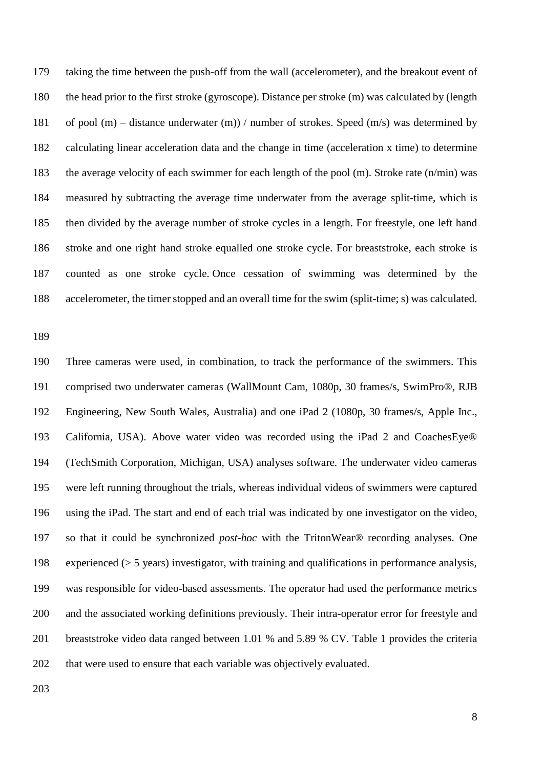taking the time between the push-off from the wall (accelerometer), and the breakout event of the head prior to the first stroke (gyroscope). Distance per stroke (m) was calculated by (length 181 of pool (m) – distance underwater (m)) / number of strokes. Speed (m/s) was determined by calculating linear acceleration data and the change in time (acceleration x time) to determine the average velocity of each swimmer for each length of the pool (m). Stroke rate (n/min) was measured by subtracting the average time underwater from the average split-time, which is then divided by the average number of stroke cycles in a length. For freestyle, one left hand stroke and one right hand stroke equalled one stroke cycle. For breaststroke, each stroke is counted as one stroke cycle. Once cessation of swimming was determined by the accelerometer, the timer stopped and an overall time for the swim (split-time; s) was calculated.

 Three cameras were used, in combination, to track the performance of the swimmers. This comprised two underwater cameras (WallMount Cam, 1080p, 30 frames/s, SwimPro®, RJB Engineering, New South Wales, Australia) and one iPad 2 (1080p, 30 frames/s, Apple Inc., California, USA). Above water video was recorded using the iPad 2 and CoachesEye® (TechSmith Corporation, Michigan, USA) analyses software. The underwater video cameras were left running throughout the trials, whereas individual videos of swimmers were captured using the iPad. The start and end of each trial was indicated by one investigator on the video, so that it could be synchronized *post-hoc* with the TritonWear® recording analyses. One experienced (> 5 years) investigator, with training and qualifications in performance analysis, was responsible for video-based assessments. The operator had used the performance metrics and the associated working definitions previously. Their intra-operator error for freestyle and breaststroke video data ranged between 1.01 % and 5.89 % CV. Table 1 provides the criteria that were used to ensure that each variable was objectively evaluated.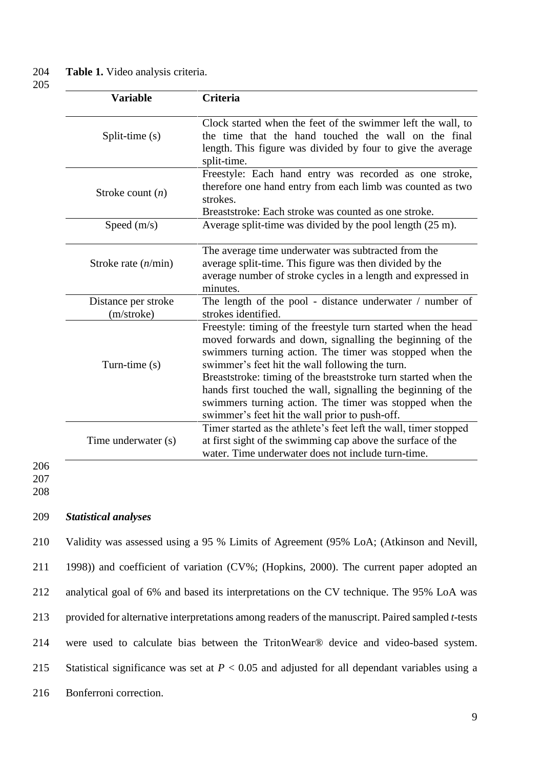204 **Table 1.** Video analysis criteria.

205

| <b>Variable</b>                   | Criteria                                                                                                                                                                                                                                                                                                                                                                                                                                                                                |
|-----------------------------------|-----------------------------------------------------------------------------------------------------------------------------------------------------------------------------------------------------------------------------------------------------------------------------------------------------------------------------------------------------------------------------------------------------------------------------------------------------------------------------------------|
| Split-time (s)                    | Clock started when the feet of the swimmer left the wall, to<br>the time that the hand touched the wall on the final<br>length. This figure was divided by four to give the average<br>split-time.                                                                                                                                                                                                                                                                                      |
| Stroke count $(n)$                | Freestyle: Each hand entry was recorded as one stroke,<br>therefore one hand entry from each limb was counted as two<br>strokes.<br>Breaststroke: Each stroke was counted as one stroke.                                                                                                                                                                                                                                                                                                |
| Speed $(m/s)$                     | Average split-time was divided by the pool length (25 m).                                                                                                                                                                                                                                                                                                                                                                                                                               |
| Stroke rate $(n/\text{min})$      | The average time underwater was subtracted from the<br>average split-time. This figure was then divided by the<br>average number of stroke cycles in a length and expressed in<br>minutes.                                                                                                                                                                                                                                                                                              |
| Distance per stroke<br>(m/stroke) | The length of the pool - distance underwater / number of<br>strokes identified.                                                                                                                                                                                                                                                                                                                                                                                                         |
| Turn-time (s)                     | Freestyle: timing of the freestyle turn started when the head<br>moved forwards and down, signalling the beginning of the<br>swimmers turning action. The timer was stopped when the<br>swimmer's feet hit the wall following the turn.<br>Breaststroke: timing of the breaststroke turn started when the<br>hands first touched the wall, signalling the beginning of the<br>swimmers turning action. The timer was stopped when the<br>swimmer's feet hit the wall prior to push-off. |
| Time underwater (s)               | Timer started as the athlete's feet left the wall, timer stopped<br>at first sight of the swimming cap above the surface of the<br>water. Time underwater does not include turn-time.                                                                                                                                                                                                                                                                                                   |

206 207

208

# 209 *Statistical analyses*

 Validity was assessed using a 95 % Limits of Agreement (95% LoA; (Atkinson and Nevill, 1998)) and coefficient of variation (CV%; (Hopkins, 2000). The current paper adopted an analytical goal of 6% and based its interpretations on the CV technique. The 95% LoA was provided for alternative interpretations among readers of the manuscript. Paired sampled *t*-tests were used to calculate bias between the TritonWear® device and video-based system. Statistical significance was set at *P* < 0.05 and adjusted for all dependant variables using a Bonferroni correction.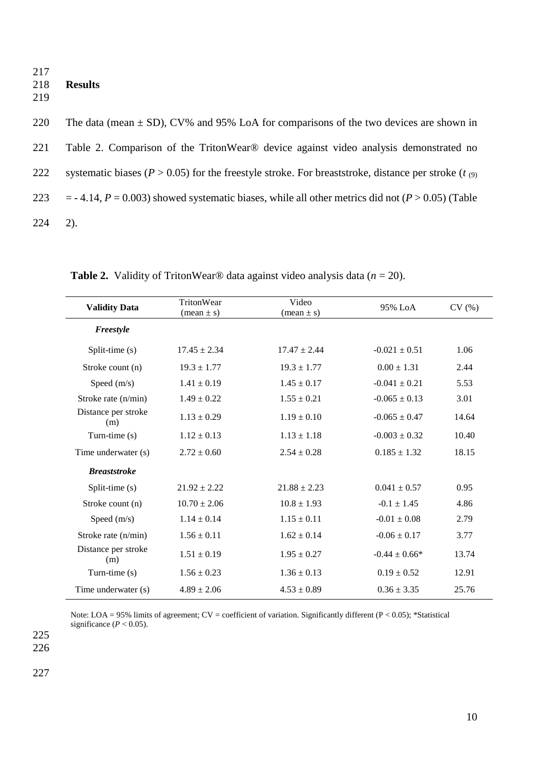217 218 **Results** 219

220 The data (mean  $\pm$  SD), CV% and 95% LoA for comparisons of the two devices are shown in 221 Table 2. Comparison of the TritonWear® device against video analysis demonstrated no 222 systematic biases ( $P > 0.05$ ) for the freestyle stroke. For breaststroke, distance per stroke ( $t_{(9)}$ ) 223 = - 4.14,  $P = 0.003$ ) showed systematic biases, while all other metrics did not ( $P > 0.05$ ) (Table 224 2).

| <b>Validity Data</b>       | TritonWear<br>$(\text{mean} \pm \text{s})$ | Video<br>$(\text{mean} \pm \text{s})$ | 95% LoA           | CV(%) |
|----------------------------|--------------------------------------------|---------------------------------------|-------------------|-------|
| Freestyle                  |                                            |                                       |                   |       |
| Split-time (s)             | $17.45 \pm 2.34$                           | $17.47 \pm 2.44$                      | $-0.021 \pm 0.51$ | 1.06  |
| Stroke count (n)           | $19.3 \pm 1.77$                            | $19.3 \pm 1.77$                       | $0.00 \pm 1.31$   | 2.44  |
| Speed $(m/s)$              | $1.41 \pm 0.19$                            | $1.45 \pm 0.17$                       | $-0.041 \pm 0.21$ | 5.53  |
| Stroke rate (n/min)        | $1.49 \pm 0.22$                            | $1.55 \pm 0.21$                       | $-0.065 \pm 0.13$ | 3.01  |
| Distance per stroke<br>(m) | $1.13 \pm 0.29$                            | $1.19 \pm 0.10$                       | $-0.065 \pm 0.47$ | 14.64 |
| Turn-time (s)              | $1.12 \pm 0.13$                            | $1.13 \pm 1.18$                       | $-0.003 \pm 0.32$ | 10.40 |
| Time underwater (s)        | $2.72 \pm 0.60$                            | $2.54 \pm 0.28$                       | $0.185 \pm 1.32$  | 18.15 |
| <b>Breaststroke</b>        |                                            |                                       |                   |       |
| Split-time (s)             | $21.92 \pm 2.22$                           | $21.88 \pm 2.23$                      | $0.041 \pm 0.57$  | 0.95  |
| Stroke count (n)           | $10.70 \pm 2.06$                           | $10.8 \pm 1.93$                       | $-0.1 + 1.45$     | 4.86  |
| Speed $(m/s)$              | $1.14 \pm 0.14$                            | $1.15 \pm 0.11$                       | $-0.01 \pm 0.08$  | 2.79  |
| Stroke rate $(n/min)$      | $1.56 \pm 0.11$                            | $1.62 \pm 0.14$                       | $-0.06 \pm 0.17$  | 3.77  |
| Distance per stroke<br>(m) | $1.51 \pm 0.19$                            | $1.95 \pm 0.27$                       | $-0.44 \pm 0.66*$ | 13.74 |
| Turn-time $(s)$            | $1.56 \pm 0.23$                            | $1.36 \pm 0.13$                       | $0.19 \pm 0.52$   | 12.91 |
| Time underwater (s)        | $4.89 \pm 2.06$                            | $4.53 \pm 0.89$                       | $0.36 \pm 3.35$   | 25.76 |

**Table 2.** Validity of TritonWear<sup>®</sup> data against video analysis data  $(n = 20)$ .

Note: LOA = 95% limits of agreement;  $CV =$  coefficient of variation. Significantly different ( $P < 0.05$ ); \*Statistical significance  $(P < 0.05)$ .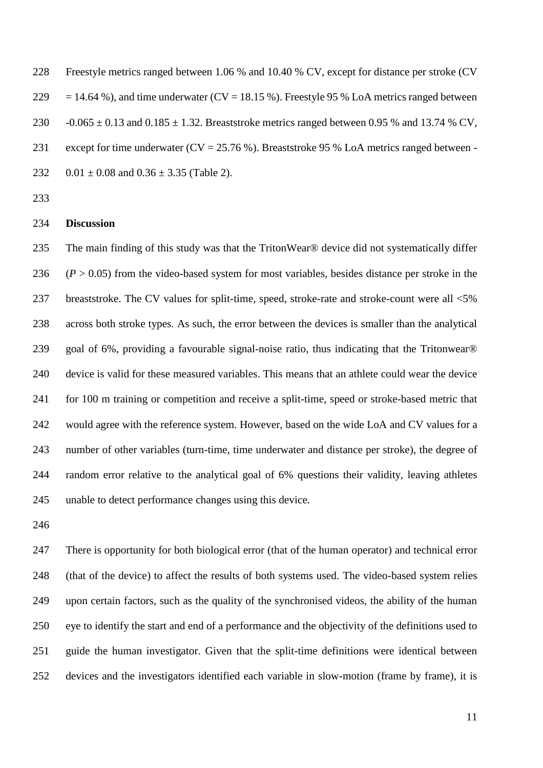Freestyle metrics ranged between 1.06 % and 10.40 % CV, except for distance per stroke (CV 229 = 14.64 %), and time underwater (CV = 18.15 %). Freestyle 95 % LoA metrics ranged between 230  $-0.065 \pm 0.13$  and  $0.185 \pm 1.32$ . Breaststroke metrics ranged between 0.95 % and 13.74 % CV, 231 except for time underwater (CV = 25.76 %). Breaststroke 95 % LoA metrics ranged between -232 0.01  $\pm$  0.08 and 0.36  $\pm$  3.35 (Table 2).

# **Discussion**

 The main finding of this study was that the TritonWear® device did not systematically differ  $(P > 0.05)$  from the video-based system for most variables, besides distance per stroke in the 237 breaststroke. The CV values for split-time, speed, stroke-rate and stroke-count were all  $\leq 5\%$  across both stroke types. As such, the error between the devices is smaller than the analytical goal of 6%, providing a favourable signal-noise ratio, thus indicating that the Tritonwear® device is valid for these measured variables. This means that an athlete could wear the device for 100 m training or competition and receive a split-time, speed or stroke-based metric that would agree with the reference system. However, based on the wide LoA and CV values for a number of other variables (turn-time, time underwater and distance per stroke), the degree of random error relative to the analytical goal of 6% questions their validity, leaving athletes unable to detect performance changes using this device.

 There is opportunity for both biological error (that of the human operator) and technical error (that of the device) to affect the results of both systems used. The video-based system relies upon certain factors, such as the quality of the synchronised videos, the ability of the human eye to identify the start and end of a performance and the objectivity of the definitions used to guide the human investigator. Given that the split-time definitions were identical between devices and the investigators identified each variable in slow-motion (frame by frame), it is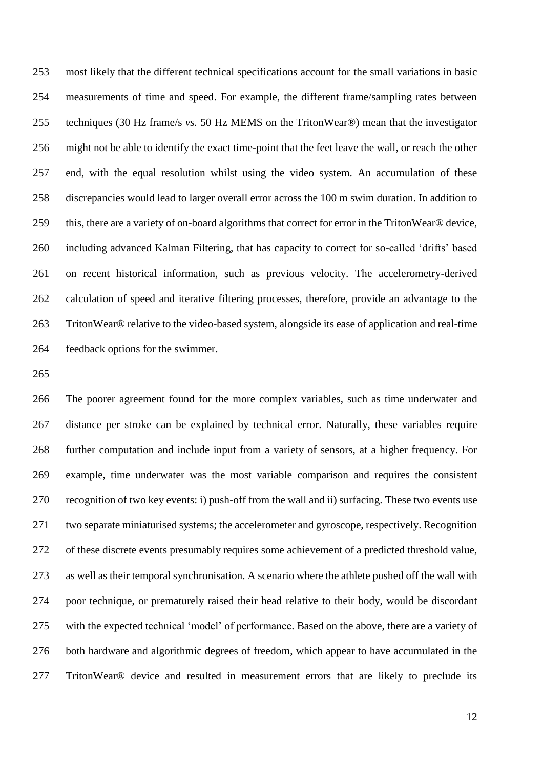most likely that the different technical specifications account for the small variations in basic measurements of time and speed. For example, the different frame/sampling rates between techniques (30 Hz frame/s *vs.* 50 Hz MEMS on the TritonWear®) mean that the investigator might not be able to identify the exact time-point that the feet leave the wall, or reach the other end, with the equal resolution whilst using the video system. An accumulation of these discrepancies would lead to larger overall error across the 100 m swim duration. In addition to this, there are a variety of on-board algorithms that correct for error in the TritonWear® device, including advanced Kalman Filtering, that has capacity to correct for so-called 'drifts' based on recent historical information, such as previous velocity. The accelerometry-derived calculation of speed and iterative filtering processes, therefore, provide an advantage to the TritonWear® relative to the video-based system, alongside its ease of application and real-time feedback options for the swimmer.

 The poorer agreement found for the more complex variables, such as time underwater and distance per stroke can be explained by technical error. Naturally, these variables require further computation and include input from a variety of sensors, at a higher frequency. For example, time underwater was the most variable comparison and requires the consistent recognition of two key events: i) push-off from the wall and ii) surfacing. These two events use two separate miniaturised systems; the accelerometer and gyroscope, respectively. Recognition of these discrete events presumably requires some achievement of a predicted threshold value, as well as their temporal synchronisation. A scenario where the athlete pushed off the wall with poor technique, or prematurely raised their head relative to their body, would be discordant with the expected technical 'model' of performance. Based on the above, there are a variety of both hardware and algorithmic degrees of freedom, which appear to have accumulated in the TritonWear® device and resulted in measurement errors that are likely to preclude its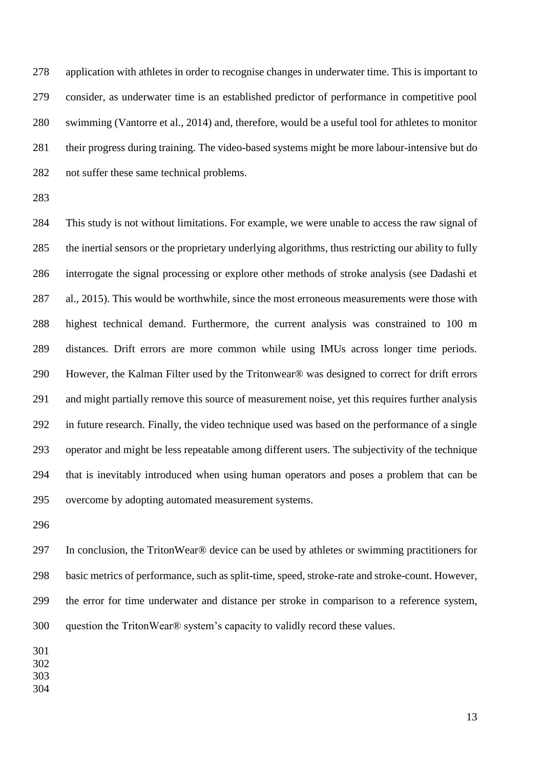application with athletes in order to recognise changes in underwater time. This is important to consider, as underwater time is an established predictor of performance in competitive pool swimming (Vantorre et al., 2014) and, therefore, would be a useful tool for athletes to monitor their progress during training. The video-based systems might be more labour-intensive but do not suffer these same technical problems.

 This study is not without limitations. For example, we were unable to access the raw signal of the inertial sensors or the proprietary underlying algorithms, thus restricting our ability to fully interrogate the signal processing or explore other methods of stroke analysis (see Dadashi et al., 2015). This would be worthwhile, since the most erroneous measurements were those with highest technical demand. Furthermore, the current analysis was constrained to 100 m distances. Drift errors are more common while using IMUs across longer time periods. However, the Kalman Filter used by the Tritonwear® was designed to correct for drift errors and might partially remove this source of measurement noise, yet this requires further analysis in future research. Finally, the video technique used was based on the performance of a single operator and might be less repeatable among different users. The subjectivity of the technique that is inevitably introduced when using human operators and poses a problem that can be overcome by adopting automated measurement systems.

 In conclusion, the TritonWear® device can be used by athletes or swimming practitioners for basic metrics of performance, such as split-time, speed, stroke-rate and stroke-count. However, the error for time underwater and distance per stroke in comparison to a reference system, question the TritonWear® system's capacity to validly record these values.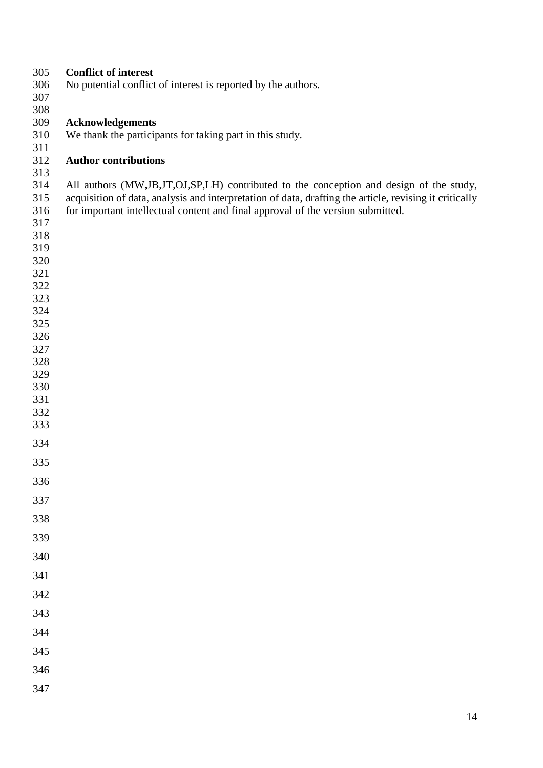| 305        | <b>Conflict of interest</b>                                                                            |
|------------|--------------------------------------------------------------------------------------------------------|
| 306        | No potential conflict of interest is reported by the authors.                                          |
| 307        |                                                                                                        |
| 308        |                                                                                                        |
| 309        | <b>Acknowledgements</b>                                                                                |
| 310        | We thank the participants for taking part in this study.                                               |
| 311        |                                                                                                        |
| 312        | <b>Author contributions</b>                                                                            |
| 313        |                                                                                                        |
| 314        | All authors (MW,JB,JT,OJ,SP,LH) contributed to the conception and design of the study,                 |
| 315        | acquisition of data, analysis and interpretation of data, drafting the article, revising it critically |
| 316        | for important intellectual content and final approval of the version submitted.                        |
| 317        |                                                                                                        |
| 318        |                                                                                                        |
| 319        |                                                                                                        |
| 320<br>321 |                                                                                                        |
| 322        |                                                                                                        |
| 323        |                                                                                                        |
| 324        |                                                                                                        |
| 325        |                                                                                                        |
| 326        |                                                                                                        |
| 327        |                                                                                                        |
| 328        |                                                                                                        |
| 329        |                                                                                                        |
| 330        |                                                                                                        |
| 331        |                                                                                                        |
| 332        |                                                                                                        |
| 333        |                                                                                                        |
| 334        |                                                                                                        |
| 335        |                                                                                                        |
| 336        |                                                                                                        |
| 337        |                                                                                                        |
| 338        |                                                                                                        |
| 339        |                                                                                                        |
| 340        |                                                                                                        |
| 341        |                                                                                                        |
| 342        |                                                                                                        |
| 343        |                                                                                                        |
| 344        |                                                                                                        |
| 345        |                                                                                                        |
| 346        |                                                                                                        |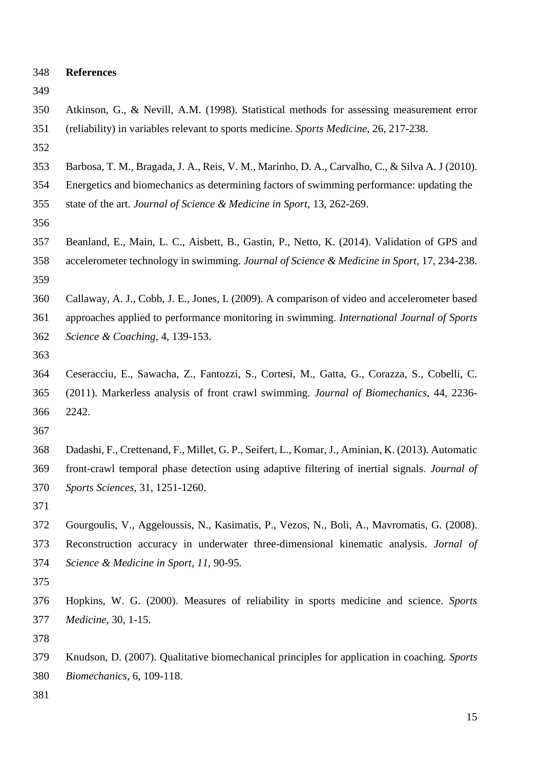| 348 | <b>References</b>                                                                                                                                                                                                                                                                                |
|-----|--------------------------------------------------------------------------------------------------------------------------------------------------------------------------------------------------------------------------------------------------------------------------------------------------|
| 349 |                                                                                                                                                                                                                                                                                                  |
| 350 | Atkinson, G., & Nevill, A.M. (1998). Statistical methods for assessing measurement error                                                                                                                                                                                                         |
| 351 | (reliability) in variables relevant to sports medicine. Sports Medicine, 26, 217-238.                                                                                                                                                                                                            |
| 352 |                                                                                                                                                                                                                                                                                                  |
| 353 | Barbosa, T. M., Bragada, J. A., Reis, V. M., Marinho, D. A., Carvalho, C., & Silva A. J (2010).                                                                                                                                                                                                  |
| 354 | Energetics and biomechanics as determining factors of swimming performance: updating the                                                                                                                                                                                                         |
| 355 | state of the art. Journal of Science & Medicine in Sport, 13, 262-269.                                                                                                                                                                                                                           |
| 356 |                                                                                                                                                                                                                                                                                                  |
| 357 | Beanland, E., Main, L. C., Aisbett, B., Gastin, P., Netto, K. (2014). Validation of GPS and                                                                                                                                                                                                      |
| 358 | accelerometer technology in swimming. Journal of Science & Medicine in Sport, 17, 234-238.                                                                                                                                                                                                       |
| 359 |                                                                                                                                                                                                                                                                                                  |
| 360 | Callaway, A. J., Cobb, J. E., Jones, I. (2009). A comparison of video and accelerometer based                                                                                                                                                                                                    |
| 361 | approaches applied to performance monitoring in swimming. International Journal of Sports                                                                                                                                                                                                        |
| 362 | Science & Coaching, 4, 139-153.                                                                                                                                                                                                                                                                  |
| 363 |                                                                                                                                                                                                                                                                                                  |
| 364 | Ceseracciu, E., Sawacha, Z., Fantozzi, S., Cortesi, M., Gatta, G., Corazza, S., Cobelli, C.                                                                                                                                                                                                      |
| 365 | (2011). Markerless analysis of front crawl swimming. Journal of Biomechanics, 44, 2236-                                                                                                                                                                                                          |
| 366 | 2242.                                                                                                                                                                                                                                                                                            |
| 367 |                                                                                                                                                                                                                                                                                                  |
| 368 | Dadashi, F., Crettenand, F., Millet, G. P., Seifert, L., Komar, J., Aminian, K. (2013). Automatic                                                                                                                                                                                                |
| 369 | front-crawl temporal phase detection using adaptive filtering of inertial signals. Journal of                                                                                                                                                                                                    |
| 370 | Sports Sciences, 31, 1251-1260.                                                                                                                                                                                                                                                                  |
| 371 |                                                                                                                                                                                                                                                                                                  |
| 272 | $\mathbf{U}$ and $\mathbf{U}$ and $\mathbf{V}$ and $\mathbf{V}$ and $\mathbf{V}$ and $\mathbf{V}$ and $\mathbf{V}$ and $\mathbf{V}$ and $\mathbf{V}$ and $\mathbf{V}$ and $\mathbf{V}$ and $\mathbf{V}$ and $\mathbf{V}$ and $\mathbf{V}$ and $\mathbf{V}$ and $\mathbf{V}$ and $\mathbf{V}$ and |

- Gourgoulis, V., Aggeloussis, N., Kasimatis, P., Vezos, N., Boli, A., Mavromatis, G. (2008). Reconstruction accuracy in underwater three-dimensional kinematic analysis. *Jornal of Science & Medicine in Sport, 11*, 90-95.
- 
- Hopkins, W. G. (2000). Measures of reliability in sports medicine and science. *Sports Medicine,* 30, 1-15.
- 
- Knudson, D. (2007). Qualitative biomechanical principles for application in coaching. *Sports Biomechanics,* 6, 109-118.
-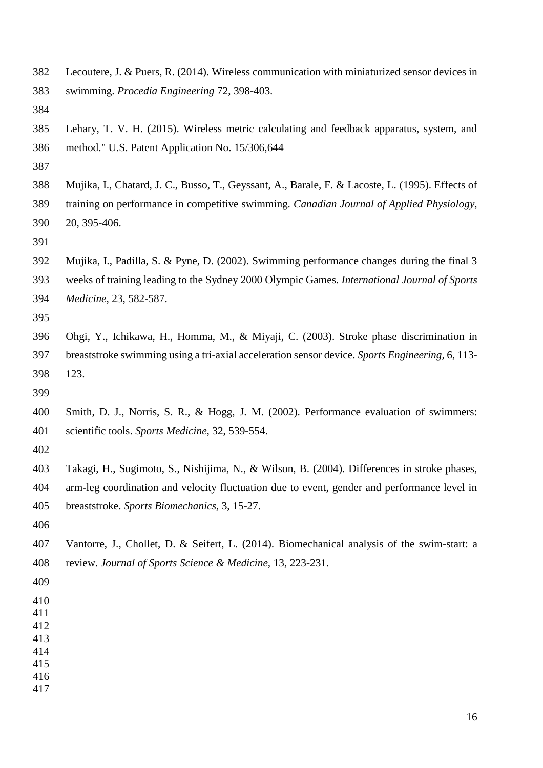- Lecoutere, J. & Puers, R. (2014). Wireless communication with miniaturized sensor devices in swimming. *Procedia Engineering* 72, 398-403.
- 
- Lehary, T. V. H. (2015). Wireless metric calculating and feedback apparatus, system, and method." U.S. Patent Application No. 15/306,644
- 
- Mujika, I., Chatard, J. C., Busso, T., Geyssant, A., Barale, F. & Lacoste, L. (1995). Effects of training on performance in competitive swimming. *Canadian Journal of Applied Physiology,*
- 20, 395-406.
- 
- Mujika, I., Padilla, S. & Pyne, D. (2002). Swimming performance changes during the final 3
- weeks of training leading to the Sydney 2000 Olympic Games. *International Journal of Sports Medicine,* 23, 582-587.
- 
- Ohgi, Y., Ichikawa, H., Homma, M., & Miyaji, C. (2003). Stroke phase discrimination in breaststroke swimming using a tri-axial acceleration sensor device. *Sports Engineering,* 6, 113- 123.
- 
- Smith, D. J., Norris, S. R., & Hogg, J. M. (2002). Performance evaluation of swimmers: scientific tools. *Sports Medicine,* 32, 539-554.
- 
- Takagi, H., Sugimoto, S., Nishijima, N., & Wilson, B. (2004). Differences in stroke phases, arm-leg coordination and velocity fluctuation due to event, gender and performance level in breaststroke. *Sports Biomechanics,* 3, 15-27.
- 
- Vantorre, J., Chollet, D. & Seifert, L. (2014). Biomechanical analysis of the swim-start: a review. *Journal of Sports Science & Medicine,* 13, 223-231.
- 
- 
- 
- 
- 
- 
-